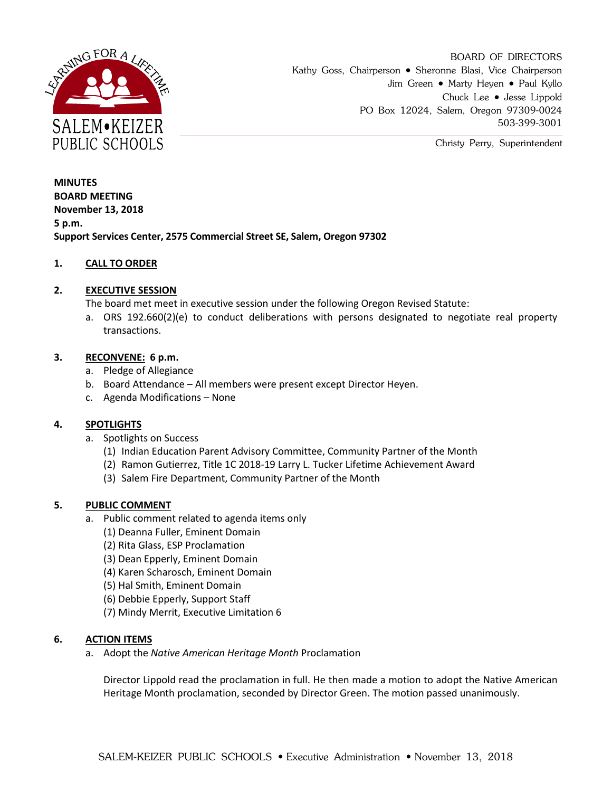

BOARD OF DIRECTORS Kathy Goss, Chairperson • Sheronne Blasi, Vice Chairperson Jim Green • Marty Heyen • Paul Kyllo Chuck Lee Jesse Lippold PO Box 12024, Salem, Oregon 97309-0024 503-399-3001

Christy Perry, Superintendent

**MINUTES BOARD MEETING November 13, 2018 5 p.m. Support Services Center, 2575 Commercial Street SE, Salem, Oregon 97302**

# **1. CALL TO ORDER**

## **2. EXECUTIVE SESSION**

The board met meet in executive session under the following Oregon Revised Statute:

a. ORS 192.660(2)(e) to conduct deliberations with persons designated to negotiate real property transactions.

## **3. RECONVENE: 6 p.m.**

- a. Pledge of Allegiance
- b. Board Attendance All members were present except Director Heyen.
- c. Agenda Modifications None

#### **4. SPOTLIGHTS**

- a. Spotlights on Success
	- (1) Indian Education Parent Advisory Committee, Community Partner of the Month
	- (2) Ramon Gutierrez, Title 1C 2018-19 Larry L. Tucker Lifetime Achievement Award
	- (3) Salem Fire Department, Community Partner of the Month

#### **5. PUBLIC COMMENT**

- a. Public comment related to agenda items only
	- (1) Deanna Fuller, Eminent Domain
	- (2) Rita Glass, ESP Proclamation
	- (3) Dean Epperly, Eminent Domain
	- (4) Karen Scharosch, Eminent Domain
	- (5) Hal Smith, Eminent Domain
	- (6) Debbie Epperly, Support Staff
	- (7) Mindy Merrit, Executive Limitation 6

#### **6. ACTION ITEMS**

a. Adopt the *Native American Heritage Month* Proclamation

Director Lippold read the proclamation in full. He then made a motion to adopt the Native American Heritage Month proclamation, seconded by Director Green. The motion passed unanimously.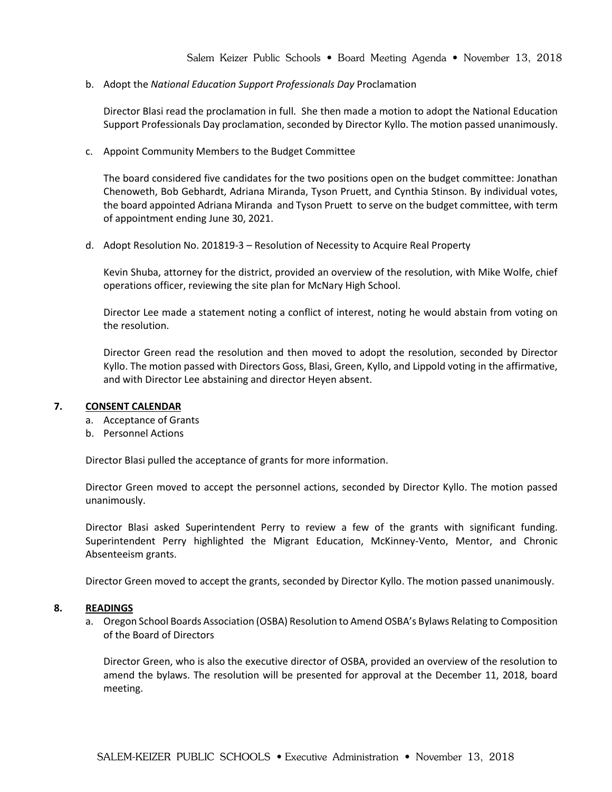b. Adopt the *National Education Support Professionals Day* Proclamation

Director Blasi read the proclamation in full. She then made a motion to adopt the National Education Support Professionals Day proclamation, seconded by Director Kyllo. The motion passed unanimously.

c. Appoint Community Members to the Budget Committee

The board considered five candidates for the two positions open on the budget committee: Jonathan Chenoweth, Bob Gebhardt, Adriana Miranda, Tyson Pruett, and Cynthia Stinson. By individual votes, the board appointed Adriana Miranda and Tyson Pruett to serve on the budget committee, with term of appointment ending June 30, 2021.

d. Adopt Resolution No. 201819-3 – Resolution of Necessity to Acquire Real Property

Kevin Shuba, attorney for the district, provided an overview of the resolution, with Mike Wolfe, chief operations officer, reviewing the site plan for McNary High School.

Director Lee made a statement noting a conflict of interest, noting he would abstain from voting on the resolution.

Director Green read the resolution and then moved to adopt the resolution, seconded by Director Kyllo. The motion passed with Directors Goss, Blasi, Green, Kyllo, and Lippold voting in the affirmative, and with Director Lee abstaining and director Heyen absent.

#### **7. CONSENT CALENDAR**

- a. Acceptance of Grants
- b. Personnel Actions

Director Blasi pulled the acceptance of grants for more information.

Director Green moved to accept the personnel actions, seconded by Director Kyllo. The motion passed unanimously.

Director Blasi asked Superintendent Perry to review a few of the grants with significant funding. Superintendent Perry highlighted the Migrant Education, McKinney-Vento, Mentor, and Chronic Absenteeism grants.

Director Green moved to accept the grants, seconded by Director Kyllo. The motion passed unanimously.

#### **8. READINGS**

a. Oregon School Boards Association (OSBA) Resolution to Amend OSBA's Bylaws Relating to Composition of the Board of Directors

Director Green, who is also the executive director of OSBA, provided an overview of the resolution to amend the bylaws. The resolution will be presented for approval at the December 11, 2018, board meeting.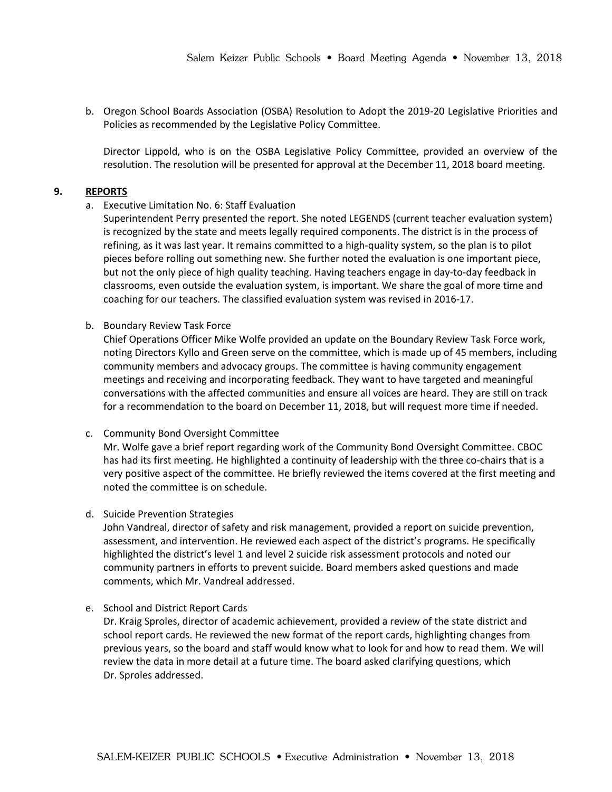b. Oregon School Boards Association (OSBA) Resolution to Adopt the 2019-20 Legislative Priorities and Policies as recommended by the Legislative Policy Committee.

Director Lippold, who is on the OSBA Legislative Policy Committee, provided an overview of the resolution. The resolution will be presented for approval at the December 11, 2018 board meeting.

## **9. REPORTS**

a. Executive Limitation No. 6: Staff Evaluation

Superintendent Perry presented the report. She noted LEGENDS (current teacher evaluation system) is recognized by the state and meets legally required components. The district is in the process of refining, as it was last year. It remains committed to a high-quality system, so the plan is to pilot pieces before rolling out something new. She further noted the evaluation is one important piece, but not the only piece of high quality teaching. Having teachers engage in day-to-day feedback in classrooms, even outside the evaluation system, is important. We share the goal of more time and coaching for our teachers. The classified evaluation system was revised in 2016-17.

b. Boundary Review Task Force

Chief Operations Officer Mike Wolfe provided an update on the Boundary Review Task Force work, noting Directors Kyllo and Green serve on the committee, which is made up of 45 members, including community members and advocacy groups. The committee is having community engagement meetings and receiving and incorporating feedback. They want to have targeted and meaningful conversations with the affected communities and ensure all voices are heard. They are still on track for a recommendation to the board on December 11, 2018, but will request more time if needed.

c. Community Bond Oversight Committee

Mr. Wolfe gave a brief report regarding work of the Community Bond Oversight Committee. CBOC has had its first meeting. He highlighted a continuity of leadership with the three co-chairs that is a very positive aspect of the committee. He briefly reviewed the items covered at the first meeting and noted the committee is on schedule.

d. Suicide Prevention Strategies

John Vandreal, director of safety and risk management, provided a report on suicide prevention, assessment, and intervention. He reviewed each aspect of the district's programs. He specifically highlighted the district's level 1 and level 2 suicide risk assessment protocols and noted our community partners in efforts to prevent suicide. Board members asked questions and made comments, which Mr. Vandreal addressed.

e. School and District Report Cards

Dr. Kraig Sproles, director of academic achievement, provided a review of the state district and school report cards. He reviewed the new format of the report cards, highlighting changes from previous years, so the board and staff would know what to look for and how to read them. We will review the data in more detail at a future time. The board asked clarifying questions, which Dr. Sproles addressed.